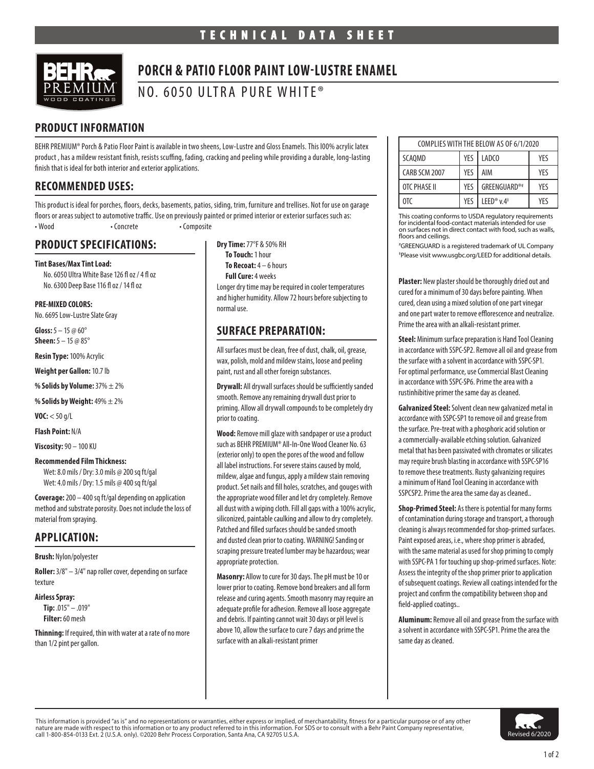

# **PORCH & PATIO FLOOR PAINT LOW-LUSTRE ENAMEL**

NO. 6050 ULTRA PURE WHITE®

# **PRODUCT INFORMATION**

BEHR PREMIUM® Porch & Patio Floor Paint is available in two sheens, Low-Lustre and Gloss Enamels. This l00% acrylic latex product , has a mildew resistant finish, resists scuffing, fading, cracking and peeling while providing a durable, long-lasting finish that is ideal for both interior and exterior applications.

### **RECOMMENDED USES:**

This product is ideal for porches, floors, decks, basements, patios, siding, trim, furniture and trellises. Not for use on garage floors or areas subject to automotive traffic. Use on previously painted or primed interior or exterior surfaces such as: • Wood • Concrete • Composite

### **PRODUCT SPECIFICATIONS:**

**Tint Bases/Max Tint Load:**  No. 6050 Ultra White Base 126 fl oz / 4 fl oz No. 6300 Deep Base 116 fl oz / 14 fl oz

#### **PRE-MIXED COLORS:**

No. 6695 Low-Lustre Slate Gray

**Gloss:** 5 – 15 @ 60° **Sheen:** 5 – 15 @ 85°

**Resin Type:** 100% Acrylic

**Weight per Gallon:** 10.7 lb

**% Solids by Volume:** 37% ± 2%

**% Solids by Weight:** 49% ± 2%

**VOC:** < 50 g/L

**Flash Point:** N/A

**Viscosity:** 90 – 100 KU

#### **Recommended Film Thickness:**

Wet: 8.0 mils / Dry: 3.0 mils @ 200 sq ft/gal Wet: 4.0 mils / Dry: 1.5 mils @ 400 sq ft/gal

**Coverage:** 200 – 400 sq ft/gal depending on application method and substrate porosity. Does not include the loss of material from spraying.

### **APPLICATION:**

**Brush:** Nylon/polyester

**Roller:** 3/8" – 3/4" nap roller cover, depending on surface texture

#### **Airless Spray:**

**Tip:** .015" – .019" **Filter:** 60 mesh

**Thinning:** If required, thin with water at a rate of no more than 1/2 pint per gallon.

**Dry Time:** 77°F & 50% RH **To Touch:** 1 hour **To Recoat:** 4 – 6 hours **Full Cure:** 4 weeks Longer dry time may be required in cooler temperatures and higher humidity. Allow 72 hours before subjecting to

### **SURFACE PREPARATION:**

normal use.

All surfaces must be clean, free of dust, chalk, oil, grease, wax, polish, mold and mildew stains, loose and peeling paint, rust and all other foreign substances.

**Drywall:** All drywall surfaces should be sufficiently sanded smooth. Remove any remaining drywall dust prior to priming. Allow all drywall compounds to be completely dry prior to coating.

**Wood:** Remove mill glaze with sandpaper or use a product such as BEHR PREMIUM® All-In-One Wood Cleaner No. 63 (exterior only) to open the pores of the wood and follow all label instructions. For severe stains caused by mold, mildew, algae and fungus, apply a mildew stain removing product. Set nails and fill holes, scratches, and gouges with the appropriate wood filler and let dry completely. Remove all dust with a wiping cloth. Fill all gaps with a 100% acrylic, siliconized, paintable caulking and allow to dry completely. Patched and filled surfaces should be sanded smooth and dusted clean prior to coating. WARNING! Sanding or scraping pressure treated lumber may be hazardous; wear appropriate protection.

**Masonry:** Allow to cure for 30 days. The pH must be 10 or lower prior to coating. Remove bond breakers and all form release and curing agents. Smooth masonry may require an adequate profile for adhesion. Remove all loose aggregate and debris. If painting cannot wait 30 days or pH level is above 10, allow the surface to cure 7 days and prime the surface with an alkali-resistant primer

| COMPLIES WITH THE BELOW AS OF 6/1/2020 |     |                                    |     |
|----------------------------------------|-----|------------------------------------|-----|
| <b>SCAOMD</b>                          | YES | LADCO                              | YFS |
| CARB SCM 2007                          | YES | AIM                                | YFS |
| OTC PHASE II                           | YFS | GREENGUARD®#                       | YFS |
| 0TC                                    | YFS | LEED <sup>®</sup> v.4 <sup>‡</sup> | YFS |

This coating conforms to USDA regulatory requirements for incidental food-contact materials intended for use on surfaces not in direct contact with food, such as walls, floors and ceilings.

# GREENGUARD is a registered trademark of UL Company ‡ Please visit www.usgbc.org/LEED for additional details.

**Plaster:** New plaster should be thoroughly dried out and cured for a minimum of 30 days before painting. When cured, clean using a mixed solution of one part vinegar and one part water to remove efflorescence and neutralize. Prime the area with an alkali-resistant primer.

**Steel:** Minimum surface preparation is Hand Tool Cleaning in accordance with SSPC-SP2. Remove all oil and grease from the surface with a solvent in accordance with SSPC-SP1. For optimal performance, use Commercial Blast Cleaning in accordance with SSPC-SP6. Prime the area with a rustinhibitive primer the same day as cleaned.

**Galvanized Steel:** Solvent clean new galvanized metal in accordance with SSPC-SP1 to remove oil and grease from the surface. Pre-treat with a phosphoric acid solution or a commercially-available etching solution. Galvanized metal that has been passivated with chromates or silicates may require brush blasting in accordance with SSPC-SP16 to remove these treatments. Rusty galvanizing requires a minimum of Hand Tool Cleaning in accordance with SSPCSP2. Prime the area the same day as cleaned..

**Shop-Primed Steel:** As there is potential for many forms of contamination during storage and transport, a thorough cleaning is always recommended for shop-primed surfaces. Paint exposed areas, i.e., where shop primer is abraded, with the same material as used for shop priming to comply with SSPC-PA 1 for touching up shop-primed surfaces. Note: Assess the integrity of the shop primer prior to application of subsequent coatings. Review all coatings intended for the project and confirm the compatibility between shop and field-applied coatings..

**Aluminum:** Remove all oil and grease from the surface with a solvent in accordance with SSPC-SP1. Prime the area the same day as cleaned.

This information is provided "as is" and no representations or warranties, either express or implied, of merchantability, fitness for a particular purpose or of any other nature are made with respect to this information or to any product referred to in this information. For SDS or to consult with a Behr Paint Company representative, call 1-800-854-0133 Ext. 2 (U.S.A. only). ©2020 Behr Process Corporation, Santa Ana, CA 92705 U.S.A.